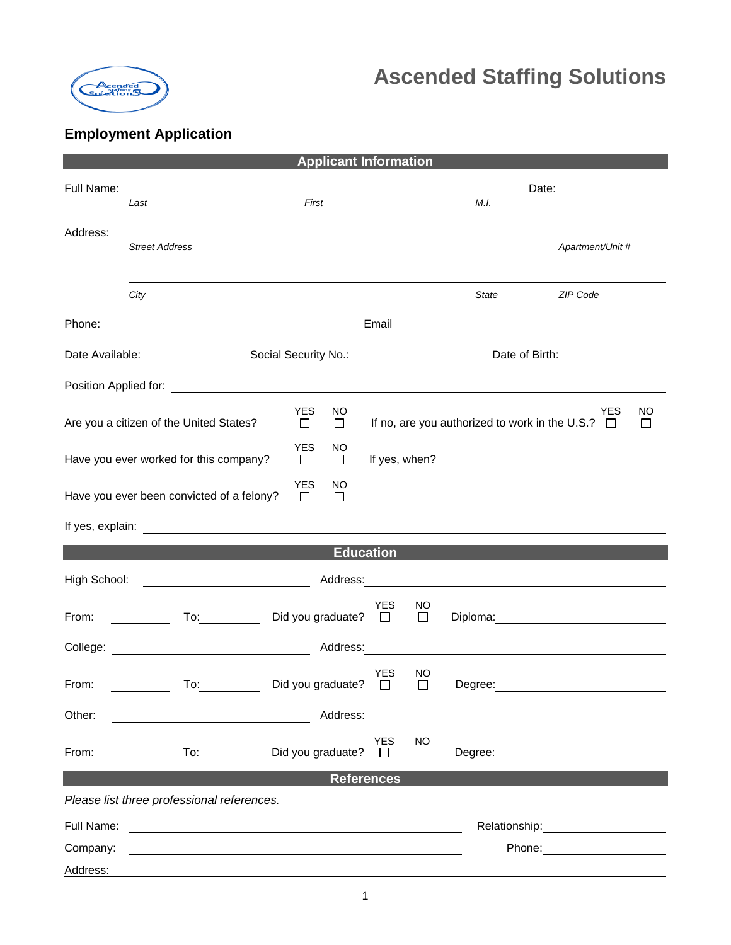

## **Ascended Staffing Solutions**

## **Employment Application**

| <b>Applicant Information</b>                                                                                                                       |                                                       |                                                                                                                  |                                 |         |                                                                                                                                                                                                                                      |  |  |  |  |
|----------------------------------------------------------------------------------------------------------------------------------------------------|-------------------------------------------------------|------------------------------------------------------------------------------------------------------------------|---------------------------------|---------|--------------------------------------------------------------------------------------------------------------------------------------------------------------------------------------------------------------------------------------|--|--|--|--|
| Full Name:                                                                                                                                         |                                                       |                                                                                                                  |                                 |         |                                                                                                                                                                                                                                      |  |  |  |  |
|                                                                                                                                                    | Last                                                  | First                                                                                                            |                                 | M.I.    |                                                                                                                                                                                                                                      |  |  |  |  |
| Address:                                                                                                                                           |                                                       |                                                                                                                  |                                 |         |                                                                                                                                                                                                                                      |  |  |  |  |
|                                                                                                                                                    | <b>Street Address</b>                                 |                                                                                                                  |                                 |         | Apartment/Unit #                                                                                                                                                                                                                     |  |  |  |  |
|                                                                                                                                                    | City                                                  |                                                                                                                  |                                 | State   | ZIP Code                                                                                                                                                                                                                             |  |  |  |  |
|                                                                                                                                                    |                                                       |                                                                                                                  |                                 |         |                                                                                                                                                                                                                                      |  |  |  |  |
| Phone:                                                                                                                                             |                                                       |                                                                                                                  |                                 |         | Email <u>________________________________</u>                                                                                                                                                                                        |  |  |  |  |
| Date Available:                                                                                                                                    |                                                       | Social Security No.: 1994                                                                                        |                                 |         | Date of Birth: 2000 2010 2010                                                                                                                                                                                                        |  |  |  |  |
|                                                                                                                                                    |                                                       |                                                                                                                  |                                 |         |                                                                                                                                                                                                                                      |  |  |  |  |
| <b>YES</b><br>NO.<br><b>YES</b><br>If no, are you authorized to work in the U.S.? $\Box$<br>Are you a citizen of the United States?<br>$\Box$<br>□ |                                                       |                                                                                                                  |                                 |         |                                                                                                                                                                                                                                      |  |  |  |  |
| <b>YES</b><br>ΝO<br>Have you ever worked for this company?<br>$\Box$<br>$\Box$                                                                     |                                                       |                                                                                                                  |                                 |         |                                                                                                                                                                                                                                      |  |  |  |  |
| <b>YES</b><br>NO<br>Have you ever been convicted of a felony?<br>$\Box$<br>$\Box$                                                                  |                                                       |                                                                                                                  |                                 |         |                                                                                                                                                                                                                                      |  |  |  |  |
|                                                                                                                                                    |                                                       |                                                                                                                  |                                 |         |                                                                                                                                                                                                                                      |  |  |  |  |
| <b>Education</b>                                                                                                                                   |                                                       |                                                                                                                  |                                 |         |                                                                                                                                                                                                                                      |  |  |  |  |
| High School:                                                                                                                                       |                                                       |                                                                                                                  |                                 |         |                                                                                                                                                                                                                                      |  |  |  |  |
| From:                                                                                                                                              |                                                       | To: Did you graduate? □                                                                                          | <b>YES</b><br>NO<br>$\Box$      |         | Diploma: <u>contract and the contract of the contract of the contract of the contract of the contract of the contract of the contract of the contract of the contract of the contract of the contract of the contract of the con</u> |  |  |  |  |
|                                                                                                                                                    |                                                       |                                                                                                                  |                                 |         |                                                                                                                                                                                                                                      |  |  |  |  |
| From:                                                                                                                                              | To:                                                   | Did you graduate?                                                                                                | YES<br>ΝO<br>$\Box$<br>$\Box$   | Degree: |                                                                                                                                                                                                                                      |  |  |  |  |
| Other:                                                                                                                                             |                                                       | Address:                                                                                                         |                                 |         |                                                                                                                                                                                                                                      |  |  |  |  |
| From:                                                                                                                                              | $\overline{10}$ :                                     | Did you graduate?                                                                                                | <b>YES</b><br>NO<br>П<br>$\Box$ |         | Degree: <u>___________________</u>                                                                                                                                                                                                   |  |  |  |  |
| <b>References</b>                                                                                                                                  |                                                       |                                                                                                                  |                                 |         |                                                                                                                                                                                                                                      |  |  |  |  |
|                                                                                                                                                    | Please list three professional references.            |                                                                                                                  |                                 |         |                                                                                                                                                                                                                                      |  |  |  |  |
| Full Name:                                                                                                                                         | <u> 1989 - Andrea Stadt Britain, fransk politik (</u> |                                                                                                                  |                                 |         | Relationship: example and the set of the set of the set of the set of the set of the set of the set of the set of the set of the set of the set of the set of the set of the set of the set of the set of the set of the set o       |  |  |  |  |
| Company:                                                                                                                                           |                                                       | and the control of the control of the control of the control of the control of the control of the control of the |                                 |         |                                                                                                                                                                                                                                      |  |  |  |  |
| Address:                                                                                                                                           |                                                       |                                                                                                                  |                                 |         |                                                                                                                                                                                                                                      |  |  |  |  |